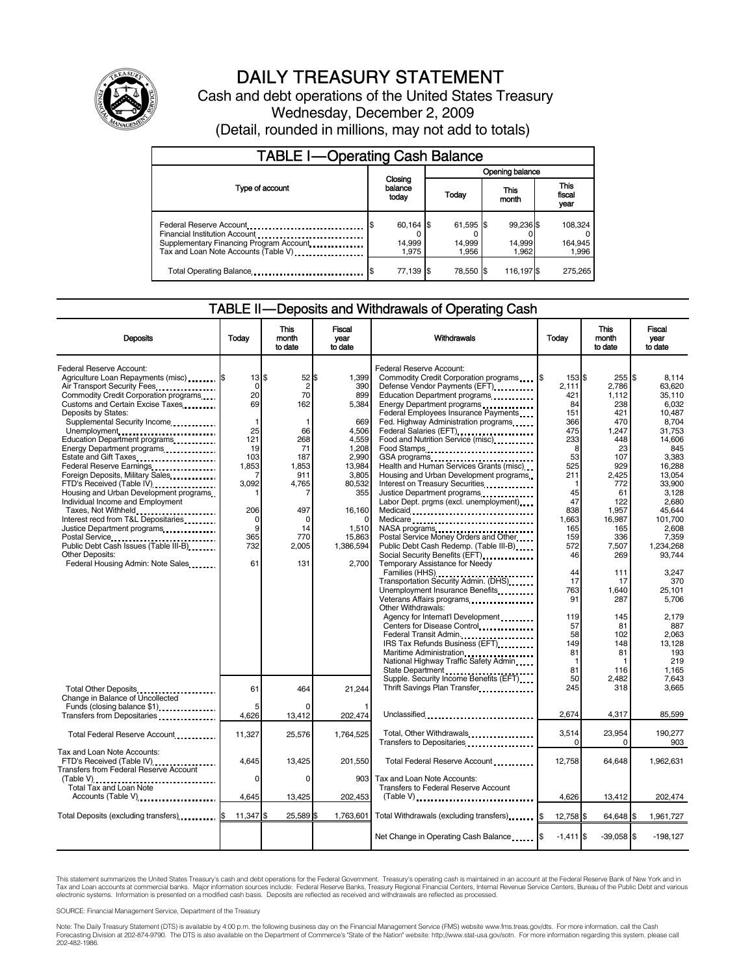

# DAILY TREASURY STATEMENT

Cash and debt operations of the United States Treasury Wednesday, December 2, 2009 (Detail, rounded in millions, may not add to totals)

| <b>TABLE I-Operating Cash Balance</b>                                                                                                        |                                |                              |                              |                               |  |  |  |
|----------------------------------------------------------------------------------------------------------------------------------------------|--------------------------------|------------------------------|------------------------------|-------------------------------|--|--|--|
|                                                                                                                                              |                                | Opening balance              |                              |                               |  |  |  |
| Type of account                                                                                                                              | Closing<br>balance<br>today    | This<br>Today<br>month       |                              | <b>This</b><br>fiscal<br>year |  |  |  |
| Federal Reserve Account<br>Financial Institution Account<br>Supplementary Financing Program Account.<br>Tax and Loan Note Accounts (Table V) | $60,164$ \$<br>14,999<br>1.975 | 61,595 \$<br>14,999<br>1.956 | 99,236 \$<br>14,999<br>1.962 | 108,324<br>164,945<br>1,996   |  |  |  |
| Total Operating Balance                                                                                                                      | 77,139 \$                      | 78.550 \$                    | 116,197 \$                   | 275,265                       |  |  |  |

#### TABLE II — Deposits and Withdrawals of Operating Cash

| <b>Deposits</b>                                                                                                                                                         | Todav                                     | <b>This</b><br>month<br>to date    | <b>Fiscal</b><br>vear<br>to date            | Withdrawals                                                                                                                                                                                                                                                                                                                                                                        | Today                              | <b>This</b><br>month<br>to date           | <b>Fiscal</b><br>vear<br>to date                       |
|-------------------------------------------------------------------------------------------------------------------------------------------------------------------------|-------------------------------------------|------------------------------------|---------------------------------------------|------------------------------------------------------------------------------------------------------------------------------------------------------------------------------------------------------------------------------------------------------------------------------------------------------------------------------------------------------------------------------------|------------------------------------|-------------------------------------------|--------------------------------------------------------|
| Federal Reserve Account:<br>Agriculture Loan Repayments (misc)  \$<br>Air Transport Security Fees<br>Commodity Credit Corporation programs                              | $13$ $\overline{\phantom{1}5}$<br>0<br>20 | $52$ \$<br>$\overline{c}$<br>70    | 1,399<br>390<br>899                         | Federal Reserve Account:<br>Defense Vendor Payments (EFT)<br>Education Department programs                                                                                                                                                                                                                                                                                         | 153 \$<br>2.111<br>421             | 255<br>2.786<br>1.112                     | \$<br>8.114<br>63.620<br>35.110                        |
| Customs and Certain Excise Taxes<br>Deposits by States:<br>Supplemental Security Income<br>Unemployment<br>Education Department programs                                | 69<br>1<br>25<br>121                      | 162<br>66<br>268                   | 5,384<br>669<br>4,506<br>4,559              | Energy Department programs<br>Federal Employees Insurance Payments<br>Fed. Highway Administration programs<br>Federal Salaries (EFT)<br>1991 - Production Contract Contract Contract Contract Contract Contract Contract Contract Contract Contract Contract Contract Contract Contract Contract Contract Contract Contract Contract Contract<br>Food and Nutrition Service (misc) | 84<br>151<br>366<br>475<br>233     | 238<br>421<br>470<br>1.247<br>448         | 6.032<br>10.487<br>8.704<br>31.753<br>14,606           |
| Energy Department programs<br>Estate and Gift Taxes<br>Federal Reserve Earnings<br>Foreign Deposits, Military Sales<br>FTD's Received (Table IV)                        | 19<br>103<br>1.853<br>7<br>3,092          | 71<br>187<br>1,853<br>911<br>4,765 | 1,208<br>2,990<br>13,984<br>3,805<br>80,532 | Food Stamps<br>Health and Human Services Grants (misc)<br>Housing and Urban Development programs<br>Interest on Treasury Securities                                                                                                                                                                                                                                                | 8<br>53<br>525<br>211              | 23<br>107<br>929<br>2,425<br>772          | 845<br>3.383<br>16.288<br>13,054<br>33,900             |
| Housing and Urban Development programs<br>Individual Income and Employment<br>Taxes, Not Withheld<br>Interest recd from T&L Depositaries<br>Justice Department programs | 206<br>0<br>9                             | 497<br>$\mathbf 0$<br>14           | 355<br>16,160<br>1,510                      | Justice Department programs<br>Labor Dept. prgms (excl. unemployment)<br>Medicaid                                                                                                                                                                                                                                                                                                  | 45<br>47<br>838<br>1,663<br>165    | 61<br>122<br>1,957<br>16,987<br>165       | 3.128<br>2.680<br>45,644<br>101,700<br>2.608           |
| Public Debt Cash Issues (Table III-B)<br>Other Deposits:<br>Federal Housing Admin: Note Sales                                                                           | 365<br>732<br>61                          | 770<br>2,005<br>131                | 15.863<br>1,386,594<br>2.700                | Postal Service Money Orders and Other<br>Public Debt Cash Redemp. (Table III-B).<br>Social Security Benefits (EFT)<br><br>Temporary Assistance for Needy                                                                                                                                                                                                                           | 159<br>572<br>46<br>44             | 336<br>7,507<br>269<br>111                | 7.359<br>1,234,268<br>93,744<br>3.247                  |
|                                                                                                                                                                         |                                           |                                    |                                             | Transportation Security Admin. (DHS)<br>Unemployment Insurance Benefits<br>Veterans Affairs programs<br>Other Withdrawals:                                                                                                                                                                                                                                                         | 17<br>763<br>91                    | 17<br>1,640<br>287                        | 370<br>25,101<br>5.706                                 |
|                                                                                                                                                                         |                                           |                                    |                                             | Agency for Internat'l Development.<br>Centers for Disease Control<br>Federal Transit Admin.<br>IRS Tax Refunds Business (EFT)<br>Maritime Administration<br>National Highway Traffic Safety Admin<br>State Department                                                                                                                                                              | 119<br>57<br>58<br>149<br>81<br>81 | 145<br>81<br>102<br>148<br>81<br>f<br>116 | 2,179<br>887<br>2.063<br>13.128<br>193<br>219<br>1.165 |
| Total Other Deposits.<br>Change in Balance of Uncollected                                                                                                               | 61                                        | 464                                | 21,244                                      | Supple. Security Income Benefits (EFT)<br>Thrift Savings Plan Transfer                                                                                                                                                                                                                                                                                                             | 50<br>245                          | 2.482<br>318                              | 7.643<br>3,665                                         |
| Funds (closing balance \$1)<br>Transfers from Depositaries                                                                                                              | 5<br>4.626                                | 13,412                             | 202,474                                     | Unclassified                                                                                                                                                                                                                                                                                                                                                                       | 2,674                              | 4,317                                     | 85,599                                                 |
| Total Federal Reserve Account                                                                                                                                           | 11,327                                    | 25,576                             | 1,764,525                                   | Total, Other Withdrawals<br>Transfers to Depositaries <b>Constant Constant of Transfers</b>                                                                                                                                                                                                                                                                                        | 3,514<br>$\Omega$                  | 23,954<br>0                               | 190,277<br>903                                         |
| Tax and Loan Note Accounts:<br>FTD's Received (Table IV)<br><b>Transfers from Federal Reserve Account</b>                                                               | 4.645                                     | 13.425                             | 201.550                                     | Total Federal Reserve Account                                                                                                                                                                                                                                                                                                                                                      | 12.758                             | 64.648                                    | 1.962.631                                              |
| (Table V)<br>Total Tax and Loan Note<br>Accounts (Table V)                                                                                                              | 0<br>4,645                                | 0<br>13,425                        | 903<br>202,453                              | Tax and Loan Note Accounts:<br><b>Transfers to Federal Reserve Account</b><br>$(Table V)$                                                                                                                                                                                                                                                                                          | 4.626                              | 13,412                                    | 202,474                                                |
| Total Deposits (excluding transfers) [\$                                                                                                                                | 11,347 \$                                 | 25,589 \$                          | 1,763,601                                   | Total Withdrawals (excluding transfers)                                                                                                                                                                                                                                                                                                                                            | 12,758 \$                          | 64,648 \$                                 | 1,961,727                                              |
|                                                                                                                                                                         |                                           |                                    |                                             | Net Change in Operating Cash Balance                                                                                                                                                                                                                                                                                                                                               | $-1,411$ \$                        | $-39,058$ \$                              | $-198,127$                                             |

This statement summarizes the United States Treasury's cash and debt operations for the Federal Government. Treasury's operating cash is maintained in an account at the Federal Reserve Bank of New York and in<br>Tax and Loan

SOURCE: Financial Management Service, Department of the Treasury

Note: The Daily Treasury Statement (DTS) is available by 4:00 p.m. the following business day on the Financial Management Service (FMS) website www.fms.treas.gov/dts. For more information, call the Cash<br>Forecasting Divisio